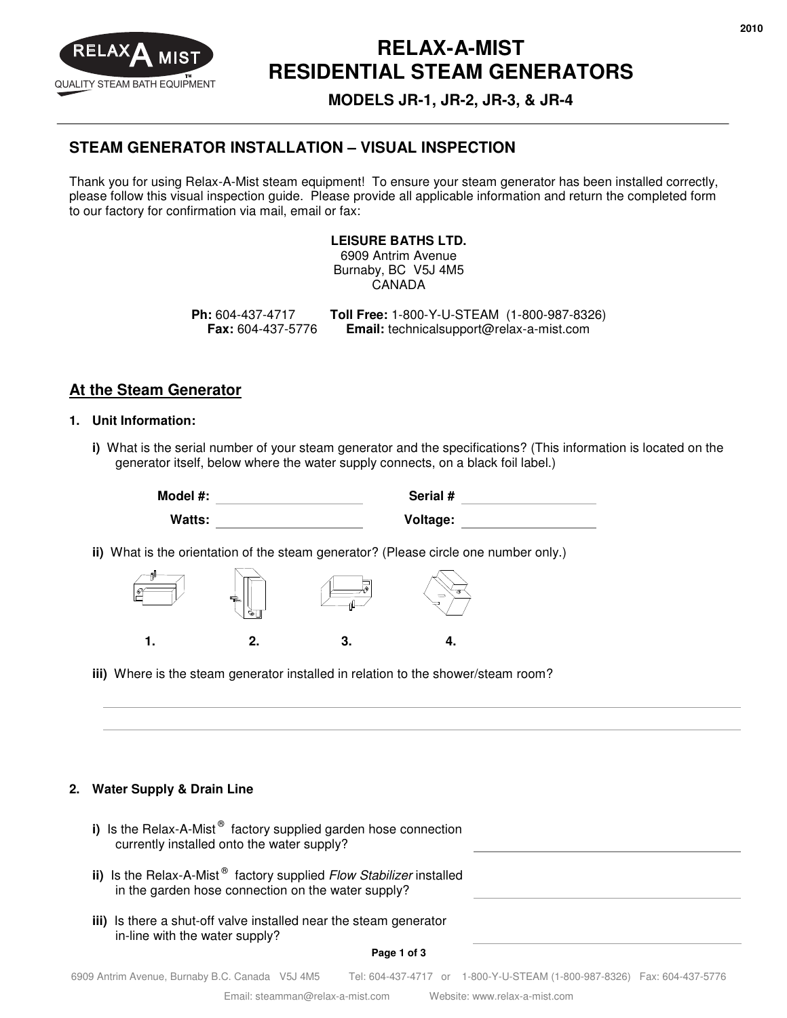

# **RELAX-A-MIST RESIDENTIAL STEAM GENERATORS**

**MODELS JR-1, JR-2, JR-3, & JR-4** 

### **STEAM GENERATOR INSTALLATION – VISUAL INSPECTION**

Thank you for using Relax-A-Mist steam equipment! To ensure your steam generator has been installed correctly, please follow this visual inspection guide. Please provide all applicable information and return the completed form to our factory for confirmation via mail, email or fax:

#### **LEISURE BATHS LTD.**

6909 Antrim Avenue Burnaby, BC V5J 4M5 CANADA

**Ph:** 604-437-4717 **Toll Free:** 1-800-Y-U-STEAM (1-800-987-8326) **Fax:** 604-437-5776 **Email:** technicalsupport@relax-a-mist.com

### **At the Steam Generator**

#### **1. Unit Information:**

**i)** What is the serial number of your steam generator and the specifications? (This information is located on the generator itself, below where the water supply connects, on a black foil label.)

> **Model #: Serial # Watts: Voltage:**

**ii)** What is the orientation of the steam generator? (Please circle one number only.)



**iii)** Where is the steam generator installed in relation to the shower/steam room?

#### **2. Water Supply & Drain Line**

| i) Is the Relax-A-Mist <sup>®</sup> factory supplied garden hose connection<br>currently installed onto the water supply?             |  |
|---------------------------------------------------------------------------------------------------------------------------------------|--|
| ii) Is the Relax-A-Mist <sup>®</sup> factory supplied Flow Stabilizer installed<br>in the garden hose connection on the water supply? |  |
| iii) Is there a shut-off valve installed near the steam generator<br>in-line with the water supply?<br>Page 1 of 3                    |  |

6909 Antrim Avenue, Burnaby B.C. Canada V5J 4M5 Tel: 604-437-4717 or 1-800-Y-U-STEAM (1-800-987-8326) Fax: 604-437-5776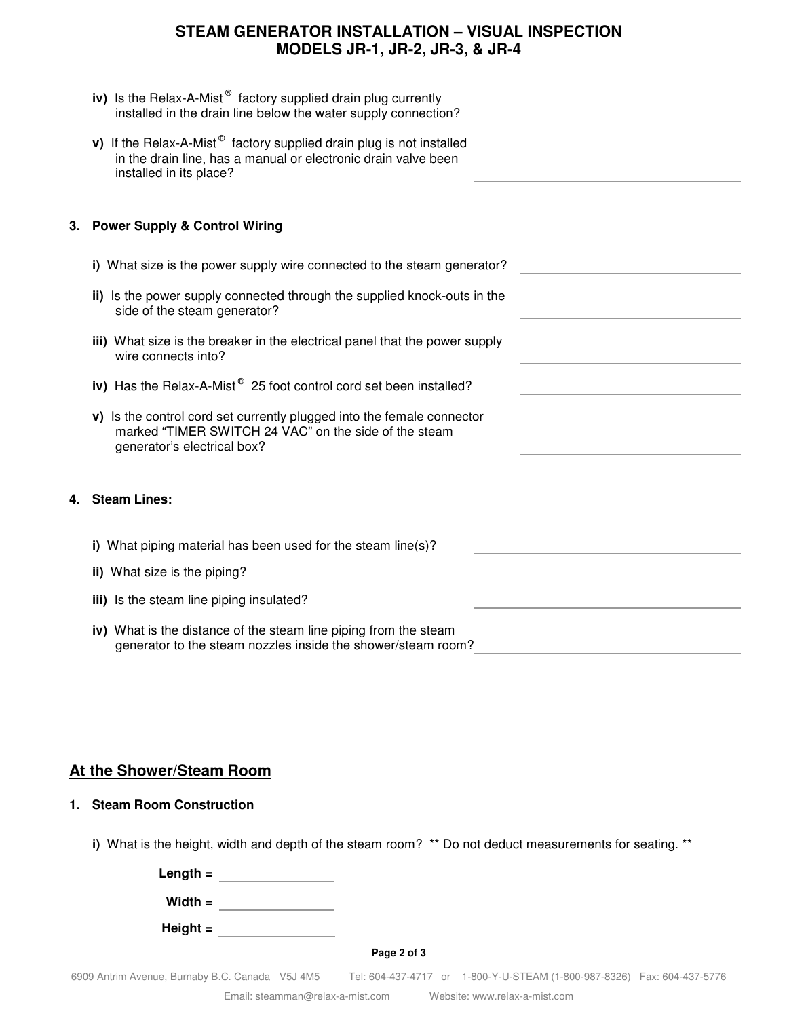### **STEAM GENERATOR INSTALLATION – VISUAL INSPECTION MODELS JR-1, JR-2, JR-3, & JR-4**

|    | iv) Is the Relax-A-Mist $^{\circ}$ factory supplied drain plug currently<br>installed in the drain line below the water supply connection?                                    |
|----|-------------------------------------------------------------------------------------------------------------------------------------------------------------------------------|
|    | v) If the Relax-A-Mist <sup>®</sup> factory supplied drain plug is not installed<br>in the drain line, has a manual or electronic drain valve been<br>installed in its place? |
| 3. | <b>Power Supply &amp; Control Wiring</b>                                                                                                                                      |
|    | i) What size is the power supply wire connected to the steam generator?                                                                                                       |
|    | ii) Is the power supply connected through the supplied knock-outs in the<br>side of the steam generator?                                                                      |
|    | iii) What size is the breaker in the electrical panel that the power supply<br>wire connects into?                                                                            |
|    | iv) Has the Relax-A-Mist <sup>®</sup> 25 foot control cord set been installed?                                                                                                |
|    | v) Is the control cord set currently plugged into the female connector<br>marked "TIMER SWITCH 24 VAC" on the side of the steam<br>generator's electrical box?                |
| 4. | <b>Steam Lines:</b>                                                                                                                                                           |
|    | i) What piping material has been used for the steam line(s)?                                                                                                                  |
|    | ii) What size is the piping?                                                                                                                                                  |
|    | iii) Is the steam line piping insulated?                                                                                                                                      |
|    | iv) What is the distance of the steam line piping from the steam<br>generator to the steam nozzles inside the shower/steam room?                                              |

### **At the Shower/Steam Room**

#### **1. Steam Room Construction**

**i)** What is the height, width and depth of the steam room? \*\* Do not deduct measurements for seating. \*\*

| Length $=$ |             |  |
|------------|-------------|--|
| Width $=$  |             |  |
| Height $=$ |             |  |
|            | Page 2 of 3 |  |
|            |             |  |